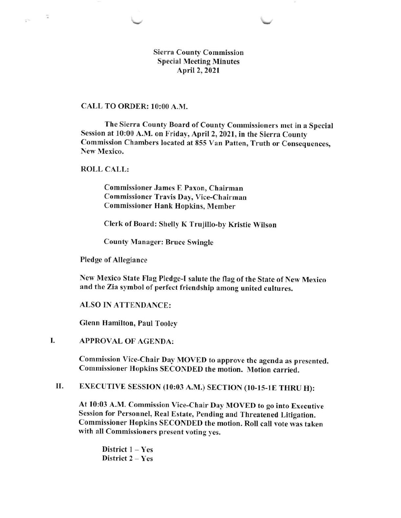Sierra County Commission Special Meeting Minutes April2,202l

## CALL TO ORDER: l0:00 A.M.

The Sierra County Board of County Commissioners met in a Special Session at 10:00 A.M. on Friday, April 2, 2021, in the Sierra County Commission Chambers located at 855 Van Patten, Truth or Consequences, New Mexico.

ROLL CALL:

 $\sigma$ 

Commissioner James E Paxon, Chairman Commissioner Travis Day, Vice-Chairman Commissioner Hank Hopkins, Member

Clerk of Board: Shelly K Trujillo-by Kristie Wilson

County Manager: Bruce Swingle

Pledge of Allegiance

New Mexico State Flag PIedge-I salute the flag of the State of New Mexico and the Zia symbol of perfect friendship among united cultures.

ALSO IN ATTENDANCE:

Glenn Hamilton, Paul Tooley

APPROVAL OF AGENDA: I.

> Commission Vice-Chair Day MOVED to approve the agenda as presented. Commissioner Hopkins SECONDED the motion. Motion carried.

II. EXECUTIVE SESSION (10:03 A.M.) SECTION (10-ls-lE THRU H):

At l0:03 A.M. Commission Vice-Chair Day MOVED to go into Executive Session for Personnel, Real Estate, Pending and Threatened Litigation. Commissioner Hopkins SECONDED the motion. Roll call vote was taken with all Commissioners present voting yes,

District  $1 - Yes$ District 2 - Yes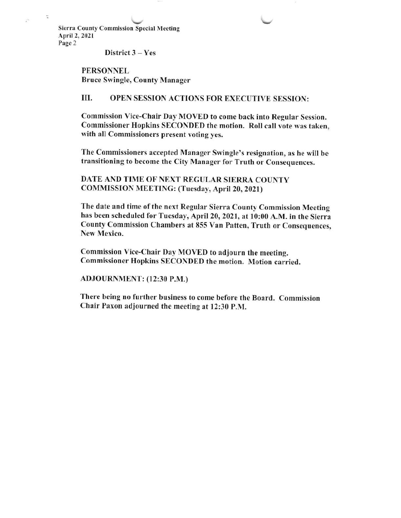v Sierra County Commission Special Meeting April 2, 2021 Page 2

 $\hat{\mathcal{L}}$ 

District 3 - Yes

PERSONNEL Bruce Swingle, County Manager

III. OPEN SESSION ACTIONS FOR EXECUTIVE SESSION:

Commission Vice-Chair Day MOVED to come back into Regular Session. Commissioner Hopkins SECONDED the motion. Roll call vote was taken, with all Commissioners present voting yes.

The Commissioners accepted Manager Swingle's resignation, as he will be transitioning to become the City Manager for Truth or Consequences,

DATE AND TIME OF NEXT REGULAR SIERRA COUNTY COMMISSION MEETING: (Tuesday, April 20,2021)

The date and time of the next Regular Sierra County Commission Meeting has been scheduled for Tuesday, April 20, 2021, at l0:00 A.M. in the Sierra County Commission Chambers at 855 Van Patten, Truth or Consequences, New Mexico,

Commission Vice-Chair Day MOVED to adjourn the meeting. Commissioner Hopkins SECONDED the motion. Motion carried.

ADJOURNMENT: (12:30 P.M.)

There being no further business to come before the Board. Commission Chair Paxon adjourned the meeting at 12:30 P.M.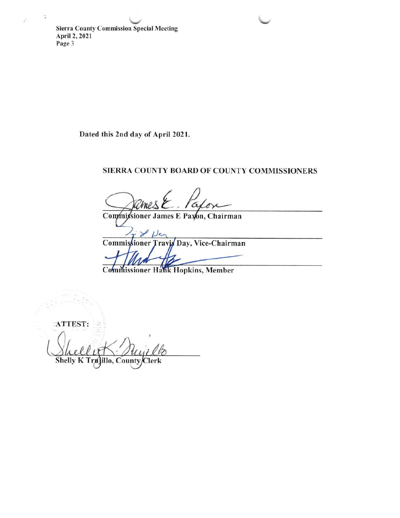**Sierra County Commission Special Meeting** April 2, 2021 Page 3

Dated this 2nd day of April 2021.

## SIERRA COUNTY BOARD OF COUNTY COMMISSIONERS

Commissioner James E Paxon, Chairman

Y ستدا Commissioner Travis Day, Vice-Chairman

**Commissioner Hank Hopkins, Member** 

ATTEST:

Shelly K Tru illo, County/Clerk